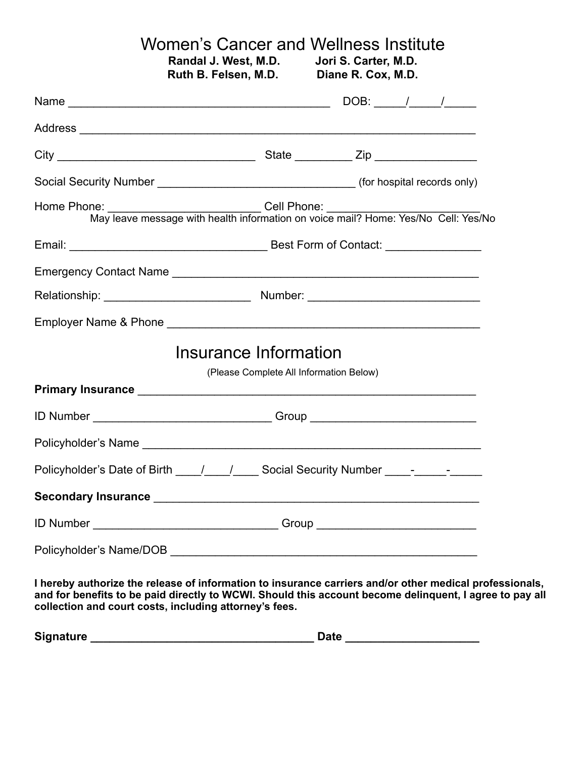## Women's Cancer and Wellness Institute<br>Randal J. West, M.D. Jori S. Carter, M.D. **Randal J. West, M.D. Jori S. Carter, M.D. Ruth B. Felsen, M.D.**

| Home Phone: ______________________________Cell Phone: ___________________________<br>May leave message with health information on voice mail? Home: Yes/No Cell: Yes/No |                                         |  |  |
|-------------------------------------------------------------------------------------------------------------------------------------------------------------------------|-----------------------------------------|--|--|
|                                                                                                                                                                         |                                         |  |  |
|                                                                                                                                                                         |                                         |  |  |
|                                                                                                                                                                         |                                         |  |  |
|                                                                                                                                                                         |                                         |  |  |
|                                                                                                                                                                         | Insurance Information                   |  |  |
|                                                                                                                                                                         | (Please Complete All Information Below) |  |  |
|                                                                                                                                                                         |                                         |  |  |
| ID Number __________________________________Group ______________________________                                                                                        |                                         |  |  |
|                                                                                                                                                                         |                                         |  |  |
| Policyholder's Date of Birth ____/____/_____ Social Security Number _____-______-                                                                                       |                                         |  |  |
|                                                                                                                                                                         |                                         |  |  |
| ID Number ___________________________________Group _____________________________                                                                                        |                                         |  |  |
|                                                                                                                                                                         |                                         |  |  |

**I hereby authorize the release of information to insurance carriers and/or other medical professionals, and for benefits to be paid directly to WCWI. Should this account become delinquent, I agree to pay all collection and court costs, including attorney's fees.**

| <b>Signature</b> | <b>Date</b> |  |
|------------------|-------------|--|
|                  |             |  |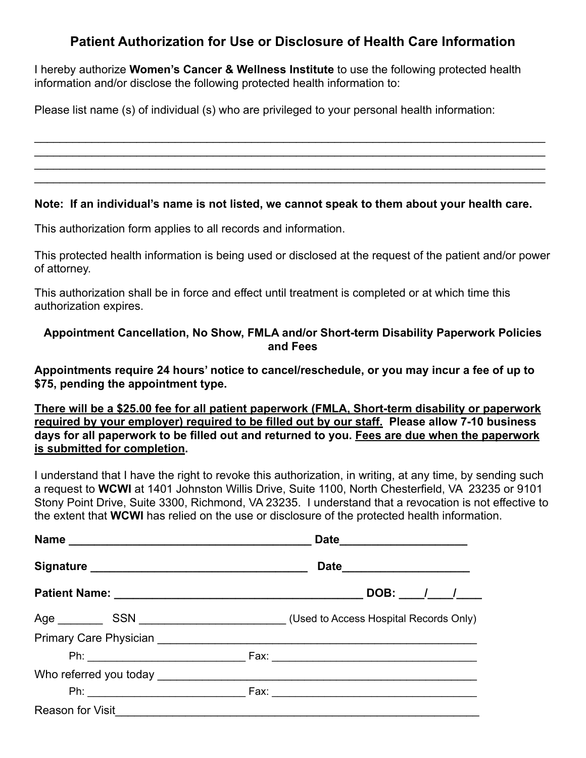# **Patient Authorization for Use or Disclosure of Health Care Information**

I hereby authorize **Women's Cancer & Wellness Institute** to use the following protected health information and/or disclose the following protected health information to:

Please list name (s) of individual (s) who are privileged to your personal health information:

#### **Note: If an individual's name is not listed, we cannot speak to them about your health care.**

\_\_\_\_\_\_\_\_\_\_\_\_\_\_\_\_\_\_\_\_\_\_\_\_\_\_\_\_\_\_\_\_\_\_\_\_\_\_\_\_\_\_\_\_\_\_\_\_\_\_\_\_\_\_\_\_\_\_\_\_\_\_\_\_\_\_\_\_\_\_\_\_\_\_\_\_\_\_\_\_  $\mathcal{L}_\mathcal{L} = \mathcal{L}_\mathcal{L} = \mathcal{L}_\mathcal{L} = \mathcal{L}_\mathcal{L} = \mathcal{L}_\mathcal{L} = \mathcal{L}_\mathcal{L} = \mathcal{L}_\mathcal{L} = \mathcal{L}_\mathcal{L} = \mathcal{L}_\mathcal{L} = \mathcal{L}_\mathcal{L} = \mathcal{L}_\mathcal{L} = \mathcal{L}_\mathcal{L} = \mathcal{L}_\mathcal{L} = \mathcal{L}_\mathcal{L} = \mathcal{L}_\mathcal{L} = \mathcal{L}_\mathcal{L} = \mathcal{L}_\mathcal{L}$  $\mathcal{L}_\mathcal{L} = \mathcal{L}_\mathcal{L} = \mathcal{L}_\mathcal{L} = \mathcal{L}_\mathcal{L} = \mathcal{L}_\mathcal{L} = \mathcal{L}_\mathcal{L} = \mathcal{L}_\mathcal{L} = \mathcal{L}_\mathcal{L} = \mathcal{L}_\mathcal{L} = \mathcal{L}_\mathcal{L} = \mathcal{L}_\mathcal{L} = \mathcal{L}_\mathcal{L} = \mathcal{L}_\mathcal{L} = \mathcal{L}_\mathcal{L} = \mathcal{L}_\mathcal{L} = \mathcal{L}_\mathcal{L} = \mathcal{L}_\mathcal{L}$ \_\_\_\_\_\_\_\_\_\_\_\_\_\_\_\_\_\_\_\_\_\_\_\_\_\_\_\_\_\_\_\_\_\_\_\_\_\_\_\_\_\_\_\_\_\_\_\_\_\_\_\_\_\_\_\_\_\_\_\_\_\_\_\_\_\_\_\_\_\_\_\_\_\_\_\_\_\_\_\_

This authorization form applies to all records and information.

This protected health information is being used or disclosed at the request of the patient and/or power of attorney.

This authorization shall be in force and effect until treatment is completed or at which time this authorization expires.

### **Appointment Cancellation, No Show, FMLA and/or Short-term Disability Paperwork Policies and Fees**

**Appointments require 24 hours' notice to cancel/reschedule, or you may incur a fee of up to \$75, pending the appointment type.** 

**There will be a \$25.00 fee for all patient paperwork (FMLA, Short-term disability or paperwork required by your employer) required to be filled out by our staff. Please allow 7-10 business days for all paperwork to be filled out and returned to you. Fees are due when the paperwork is submitted for completion.** 

I understand that I have the right to revoke this authorization, in writing, at any time, by sending such a request to **WCWI** at 1401 Johnston Willis Drive, Suite 1100, North Chesterfield, VA 23235 or 9101 Stony Point Drive, Suite 3300, Richmond, VA 23235. I understand that a revocation is not effective to the extent that **WCWI** has relied on the use or disclosure of the protected health information.

|                                    | Date ______________________   |  |
|------------------------------------|-------------------------------|--|
|                                    | Date_________________________ |  |
|                                    | $DOB:$ $1$ $1$                |  |
|                                    |                               |  |
|                                    |                               |  |
|                                    |                               |  |
|                                    |                               |  |
|                                    |                               |  |
| Reason for Visit__________________ |                               |  |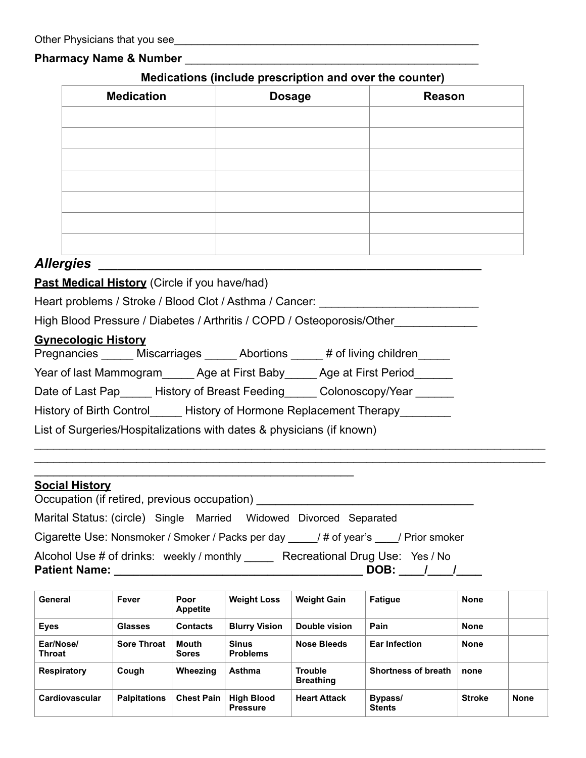#### **Pharmacy Name & Number**

#### **Medications (include prescription and over the counter)**

| <b>Medication</b> | <b>Dosage</b> | Reason |
|-------------------|---------------|--------|
|                   |               |        |
|                   |               |        |
|                   |               |        |
|                   |               |        |
|                   |               |        |
|                   |               |        |
|                   |               |        |

## *Allergies \_\_\_\_\_\_\_\_\_\_\_\_\_\_\_\_\_\_\_\_\_\_\_\_\_\_\_\_\_\_\_\_\_\_\_\_\_\_\_\_\_\_\_\_\_\_\_\_\_\_\_\_\_\_\_\_\_\_\_\_*

**Past Medical History** (Circle if you have/had)

Heart problems / Stroke / Blood Clot / Asthma / Cancer: \_\_\_\_\_\_\_\_\_\_\_\_\_\_\_\_\_\_\_\_\_\_\_\_

High Blood Pressure / Diabetes / Arthritis / COPD / Osteoporosis/Other

#### **Gynecologic History**

| Pregnancies | <b>Miscarriages</b> | Abortions | # of living children |
|-------------|---------------------|-----------|----------------------|
|-------------|---------------------|-----------|----------------------|

Year of last Mammogram Age at First Baby Age at First Period

Date of Last Pap\_\_\_\_\_\_ History of Breast Feeding\_\_\_\_\_ Colonoscopy/Year \_\_\_\_\_\_

History of Birth Control History of Hormone Replacement Therapy

List of Surgeries/Hospitalizations with dates & physicians (if known)

 $\mathcal{L}_\text{max}$  , which is a set of the set of the set of the set of the set of the set of the set of the set of the set of the set of the set of the set of the set of the set of the set of the set of the set of the set of

### **Social History**

| Occupation (if retired, previous occupation)                                              |  |  |  |  |                                         |  |  |
|-------------------------------------------------------------------------------------------|--|--|--|--|-----------------------------------------|--|--|
| Marital Status: (circle) Single Married Widowed Divorced Separated                        |  |  |  |  |                                         |  |  |
| Cigarette Use: Nonsmoker / Smoker / Packs per day _____ / # of year's ____ / Prior smoker |  |  |  |  |                                         |  |  |
| Alcohol Use # of drinks: weekly / monthly<br><b>Patient Name:</b>                         |  |  |  |  | Recreational Drug Use: Yes / No<br>DOB: |  |  |

|      | General                    | Fever               | Poor<br><b>Appetite</b> | <b>Weight Loss</b>                   | <b>Weight Gain</b>                 | Fatigue                    | <b>None</b>   |             |
|------|----------------------------|---------------------|-------------------------|--------------------------------------|------------------------------------|----------------------------|---------------|-------------|
| Eyes |                            | <b>Glasses</b>      | <b>Contacts</b>         | <b>Blurry Vision</b>                 | Double vision                      | Pain                       | <b>None</b>   |             |
|      | Ear/Nose/<br><b>Throat</b> | <b>Sore Throat</b>  | Mouth<br><b>Sores</b>   | <b>Sinus</b><br><b>Problems</b>      | Nose Bleeds                        | <b>Ear Infection</b>       | <b>None</b>   |             |
|      | Respiratory                | Cough               | Wheezing                | Asthma                               | <b>Trouble</b><br><b>Breathing</b> | <b>Shortness of breath</b> | none          |             |
|      | Cardiovascular             | <b>Palpitations</b> | <b>Chest Pain</b>       | <b>High Blood</b><br><b>Pressure</b> | <b>Heart Attack</b>                | Bypass/<br><b>Stents</b>   | <b>Stroke</b> | <b>None</b> |

\_\_\_\_\_\_\_\_\_\_\_\_\_\_\_\_\_\_\_\_\_\_\_\_\_\_\_\_\_\_\_\_\_\_\_\_\_\_\_\_\_\_\_\_\_\_\_\_\_\_\_\_\_\_\_\_\_\_\_\_\_\_\_\_\_\_\_\_\_\_\_\_\_\_\_\_\_\_\_\_  $\mathcal{L}_\mathcal{L} = \mathcal{L}_\mathcal{L} = \mathcal{L}_\mathcal{L} = \mathcal{L}_\mathcal{L} = \mathcal{L}_\mathcal{L} = \mathcal{L}_\mathcal{L} = \mathcal{L}_\mathcal{L} = \mathcal{L}_\mathcal{L} = \mathcal{L}_\mathcal{L} = \mathcal{L}_\mathcal{L} = \mathcal{L}_\mathcal{L} = \mathcal{L}_\mathcal{L} = \mathcal{L}_\mathcal{L} = \mathcal{L}_\mathcal{L} = \mathcal{L}_\mathcal{L} = \mathcal{L}_\mathcal{L} = \mathcal{L}_\mathcal{L}$